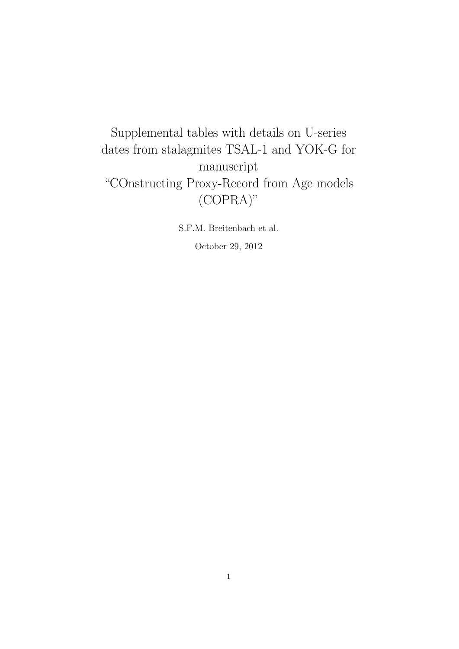Supplemental tables with details on U-series dates from stalagmites TSAL-1 and YOK-G for manuscript "COnstructing Proxy-Record from Age models (COPRA)"

> S.F.M. Breitenbach et al. October 29, 2012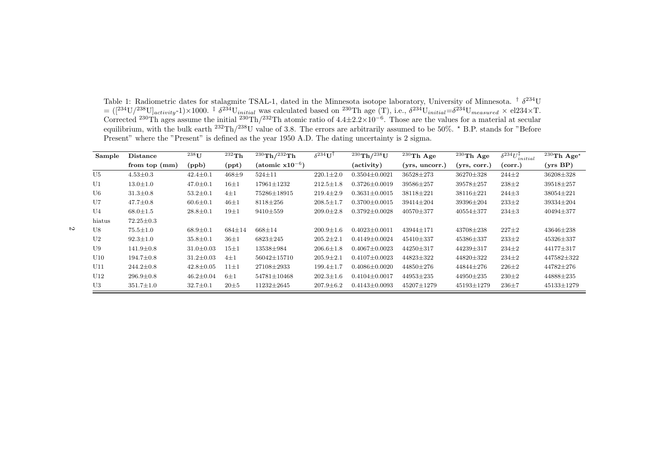Table 1: Radiometric dates for stalagmite TSAL-1, dated in the Minnesota isotope laboratory, University of Minnesota. <sup>†</sup>  $\delta^{234}$ U  $= ([^{234}U/^{238}U]$ <sub>activity</sub>-1)×1000. <sup>‡</sup>  $\delta^{234}U_{initial}$  was calculated based on <sup>230</sup>Th age (T), i.e.,  $\delta^{234}U_{initial} = \delta^{234}U_{measured} \times$  el234×T.<br>Corrected <sup>230</sup>Th ages assume the initial <sup>230</sup>Th/<sup>232</sup>Th atomic ratio of 4.4±2. equilibrium, with the bulk earth  $^{232}Th/^{238}U$  value of 3.8. The errors are arbitrarily assumed to be 50%.  $*$  B.P. stands for "Before Present" where the "Present" is defined as the year 1950 A.D. The dating uncertainty is 2 sigma.

| Sample         | <b>Distance</b> | $238$ <sup>U</sup> | $^{232}$ Th    | $^{230}$ Th/ $^{232}$ Th    | $\delta^{234}$ U <sup>T</sup> | $^{230}$ Th/ $^{238}$ U | $^{230}\mathrm{Th}$ Age | $^{230}\mathrm{Th}$ Age | $\delta^{234}U^{\ddagger}_{initial}$ | $^{230}\mathrm{Th}$ Age* |
|----------------|-----------------|--------------------|----------------|-----------------------------|-------------------------------|-------------------------|-------------------------|-------------------------|--------------------------------------|--------------------------|
|                | from top $(mm)$ | (ppb)              | $(\text{ppt})$ | $(\text{atomic } x10^{-6})$ |                               | (activity)              | (yrs, uncorr.)          | (yrs, corr.)            | (corr.)                              | (yrs BP)                 |
| U <sub>5</sub> | $4.53 \pm 0.3$  | $42.4 \pm 0.1$     | $468 \pm 9$    | $524 \pm 11$                | $220.1 \pm 2.0$               | $0.3504 \pm 0.0021$     | 36528±273               | 36270±328               | $244 \pm 2$                          | 36208±328                |
| U <sub>1</sub> | $13.0 \pm 1.0$  | $47.0 \pm 0.1$     | $16 + 1$       | $17961 \pm 1232$            | $212.5 \pm 1.8$               | $0.3726 \pm 0.0019$     | 39586±257               | 39578±257               | $238 \pm 2$                          | 39518±257                |
| U6             | $31.3 \pm 0.8$  | $53.2 \pm 0.1$     | $4\pm1$        | 75286±18915                 | $219.4 \pm 2.9$               | $0.3631 \pm 0.0015$     | $38118 \pm 221$         | $38116 \pm 221$         | $244\pm3$                            | $38054 \pm 221$          |
| U7             | $47.7 \pm 0.8$  | $60.6 \pm 0.1$     | $46 + 1$       | $8118 \pm 256$              | $208.5 \pm 1.7$               | $0.3700 \pm 0.0015$     | 39414±204               | $39396 \pm 204$         | $233 \pm 2$                          | 39334±204                |
| U4             | $68.0 \pm 1.5$  | $28.8 \pm 0.1$     | $19\pm1$       | $9410 \pm 559$              | $209.0 \pm 2.8$               | $0.3792 \pm 0.0028$     | $40570 \pm 377$         | $40554 \pm 377$         | $234 \pm 3$                          | 40494±377                |
| hiatus         | $72.25 \pm 0.3$ |                    |                |                             |                               |                         |                         |                         |                                      |                          |
| U8             | $75.5 \pm 1.0$  | $68.9 \pm 0.1$     | $684 \pm 14$   | $668 + 14$                  | $200.9 \pm 1.6$               | $0.4023 \pm 0.0011$     | $43944 \pm 171$         | $43708 \pm 238$         | $227 \pm 2$                          | $43646 \pm 238$          |
| U <sub>2</sub> | $92.3 \pm 1.0$  | $35.8 \pm 0.1$     | $36 + 1$       | $6823 \pm 245$              | $205.2 \pm 2.1$               | $0.4149 \pm 0.0024$     | 45410±337               | 45386±337               | $233 \pm 2$                          | 45326±337                |
| U9             | $141.9 \pm 0.8$ | $31.0 \pm 0.03$    | $15\pm1$       | 13538±984                   | $206.6 \pm 1.8$               | $0.4067 \pm 0.0023$     | $44250 \pm 317$         | $44239 \pm 317$         | $234 \pm 2$                          | $44177 \pm 317$          |
| U10            | $194.7 \pm 0.8$ | $31.2 \pm 0.03$    | $4\pm1$        | $56042 \pm 15710$           | $205.9 \pm 2.1$               | $0.4107 \pm 0.0023$     | 44823±322               | 44820±322               | $234 \pm 2$                          | 447582±322               |
| U11            | $244.2 \pm 0.8$ | $42.8 \pm 0.05$    | $11\pm1$       | 27108±2933                  | $199.4 \pm 1.7$               | $0.4086 \pm 0.0020$     | $44850 \pm 276$         | $44844 \pm 276$         | $226 \pm 2$                          | 44782±276                |
| U12            | $296.9 \pm 0.8$ | $46.2 \pm 0.04$    | $6\pm1$        | $54781 \pm 10468$           | $202.3 \pm 1.6$               | $0.4104 \pm 0.0017$     | $44953 \pm 235$         | $44950 \pm 235$         | $230 \pm 2$                          | 44888±235                |
| U3             | $351.7 \pm 1.0$ | $32.7 \pm 0.1$     | $20\pm5$       | $11232 \pm 2645$            | $207.9 \pm 6.2$               | $0.4143 \pm 0.0093$     | $45207 \pm 1279$        | 45193±1279              | $236 + 7$                            | 45133±1279               |